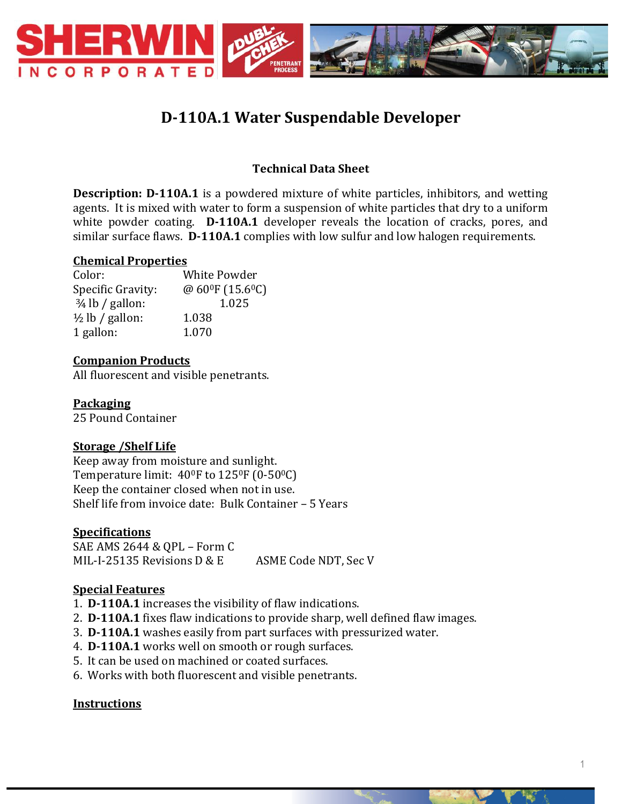

# **D-110A.1 Water Suspendable Developer**

## **Technical Data Sheet**

**Description: D-110A.1** is a powdered mixture of white particles, inhibitors, and wetting agents. It is mixed with water to form a suspension of white particles that dry to a uniform white powder coating. **D-110A.1** developer reveals the location of cracks, pores, and similar surface flaws. **D-110A.1** complies with low sulfur and low halogen requirements.

#### **Chemical Properties**

| Color:                     | White Powder    |
|----------------------------|-----------------|
| Specific Gravity:          | @ 60°F (15.6°C) |
| $\frac{3}{4}$ lb / gallon: | 1.025           |
| $\frac{1}{2}$ lb / gallon: | 1.038           |
| 1 gallon:                  | 1.070           |

### **Companion Products**

All fluorescent and visible penetrants.

**Packaging** 25 Pound Container

### **Storage /Shelf Life**

Keep away from moisture and sunlight. Temperature limit:  $40^{\circ}$ F to  $125^{\circ}$ F (0-50 $^{\circ}$ C) Keep the container closed when not in use. Shelf life from invoice date: Bulk Container – 5 Years

### **Specifications**

SAE AMS 2644 & QPL – Form C MIL-I-25135 Revisions D & E ASME Code NDT, Sec V

### **Special Features**

- 1. **D-110A.1** increases the visibility of flaw indications.
- 2. **D-110A.1** fixes flaw indications to provide sharp, well defined flaw images.
- 3. **D-110A.1** washes easily from part surfaces with pressurized water.
- 4. **D-110A.1** works well on smooth or rough surfaces.
- 5. It can be used on machined or coated surfaces.
- 6. Works with both fluorescent and visible penetrants.

### **Instructions**